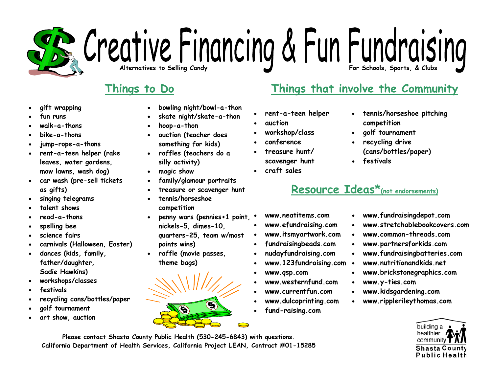## **Alternatives to Selling Candy** Conditional Conditions of Candy Candy Candy Candy Candy Candy Candy Candy Seports, & Clubs

- •**gift wrapping**
- •**fun runs**
- •**walk-a-thons**
- •**bike-a-thons**
- •**jump-rope-a-thons**
- • **rent-a-teen helper (rake leaves, water gardens, mow lawns, wash dog)**
- • **car wash (pre-sell tickets as gifts)**
- •**singing telegrams**
- •**talent shows**
- •**read-a-thons**
- •**spelling bee**
- •**science fairs**
- •**carnivals (Halloween, Easter)**
- • **dances (kids, family, father/daughter, Sadie Hawkins)**
- •**workshops/classes**
- •**festivals**
- •**recycling cans/bottles/paper**
- •**golf tournament**
- •**art show, auction**
- •**bowling night/bowl-a-thon**
- •**skate night/skate-a-thon**
- •**hoop-a-thon**
- • **auction (teacher does something for kids)**
- • **raffles (teachers do a silly activity)**
- •**magic show**
- •**family/glamour portraits**
- •**treasure or scavenger hunt**
- • **tennis/horseshoe competition**
- • **penny wars (pennies+1 point,**  •**nickels-5, dimes-10, quarters-25, team w/most points wins)**
- **raffle (movie passes, theme bags)**



### **Things to Do Things that involve the Community**

- •**rent-a-teen helper**
- •**auction**
- •**workshop/class**
- •**conference**
- • **treasure hunt/scavenger hunt**
- •**craft sales**
- • **tennis/horseshoe pitching competition**
- •**golf tournament**
- • **recycling drive (cans/bottles/paper)**
- •**festivals**

### **Resource Ideas\*(not endorsements)**

•

•

•

- **www.neatitems.com**
- •**www.efundraising.com**
- •**www.itsmyartwork.com**
- •**fundraisingbeads.com**
- •**nudayfundraising.com**
- •**www.123fundraising.com**  •
- •**www.qsp.com**
- •**www.westernfund.com**
- •**www.currentfun.com**
- •**www.dulcoprinting.com**
- •**fund-raising.com**
- **www.fundraisingdepot.com**
- **www.stretchablebookcovers.com**
- •**www.common-threads.com**
- •**www.partnersforkids.com**
- •**www.fundraisingbatteries.com**
- **www.nutritionandkids.net**
- •**www.brickstonegraphics.com**
- **www.y-ties.com**
- •**www.kidsgardening.com**
- •**www.ripplerileythomas.com**



**Please contact Shasta County Public Health (530-245-6843) with questions. California Department of Health Services, California Project LEAN, Contract #01-15285** 

- -